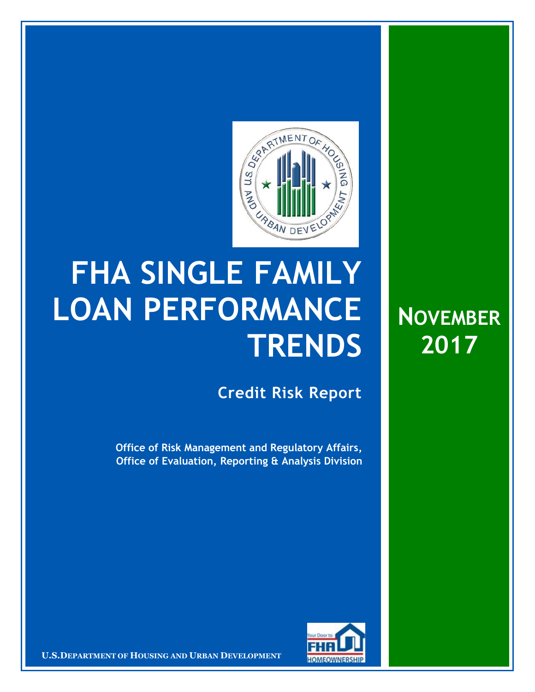

## **FHA SINGLE FAMILY LOAN PERFORMANCE TRENDS**

**Credit Risk Report**

**NOVEMBER**

**2017**

**Office of Risk Management and Regulatory Affairs, Office of Evaluation, Reporting & Analysis Division**



**U.S.DEPARTMENT OF HOUSING AND URBAN DEVELOPMENT**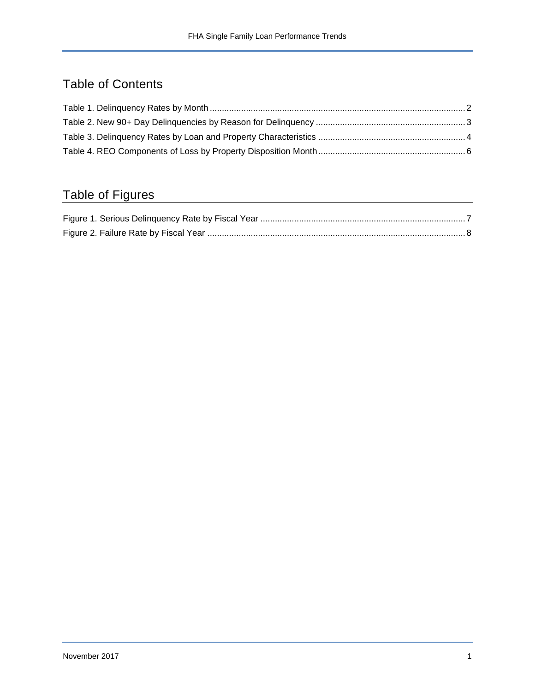## Table of Contents

## Table of Figures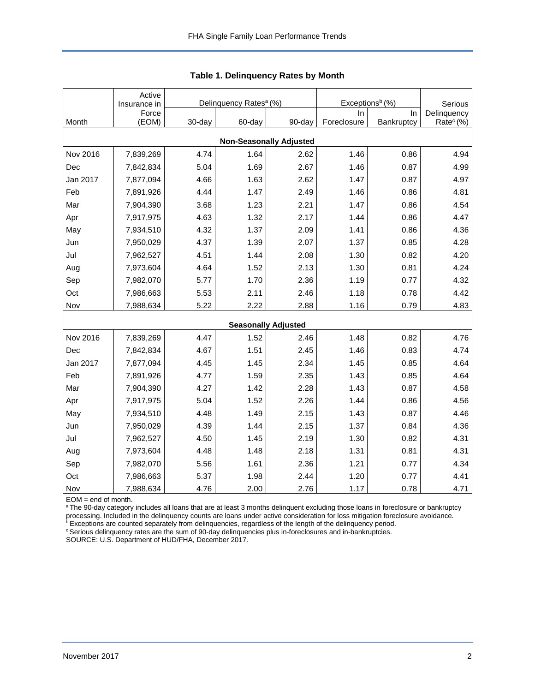<span id="page-2-0"></span>

|          | Active<br>Insurance in |        | Delinquency Rates <sup>a</sup> (%) |                                | Exceptions <sup>b</sup> (%) | Serious    |                       |
|----------|------------------------|--------|------------------------------------|--------------------------------|-----------------------------|------------|-----------------------|
|          | Force                  |        |                                    |                                | In.                         | In.        | Delinquency           |
| Month    | (EOM)                  | 30-day | 60-day                             | 90-day                         | Foreclosure                 | Bankruptcy | Rate <sup>c</sup> (%) |
|          |                        |        |                                    | <b>Non-Seasonally Adjusted</b> |                             |            |                       |
| Nov 2016 | 7,839,269              | 4.74   | 1.64                               | 2.62                           | 1.46                        | 0.86       | 4.94                  |
| Dec      | 7,842,834              | 5.04   | 1.69                               | 2.67                           | 1.46                        | 0.87       | 4.99                  |
| Jan 2017 | 7,877,094              | 4.66   | 1.63                               | 2.62                           | 1.47                        | 0.87       | 4.97                  |
| Feb      | 7,891,926              | 4.44   | 1.47                               | 2.49                           | 1.46                        | 0.86       | 4.81                  |
| Mar      | 7,904,390              | 3.68   | 1.23                               | 2.21                           | 1.47                        | 0.86       | 4.54                  |
| Apr      | 7,917,975              | 4.63   | 1.32                               | 2.17                           | 1.44                        | 0.86       | 4.47                  |
| May      | 7,934,510              | 4.32   | 1.37                               | 2.09                           | 1.41                        | 0.86       | 4.36                  |
| Jun      | 7,950,029              | 4.37   | 1.39                               | 2.07                           | 1.37                        | 0.85       | 4.28                  |
| Jul      | 7,962,527              | 4.51   | 1.44                               | 2.08                           | 1.30                        | 0.82       | 4.20                  |
| Aug      | 7,973,604              | 4.64   | 1.52                               | 2.13                           | 1.30                        | 0.81       | 4.24                  |
| Sep      | 7,982,070              | 5.77   | 1.70                               | 2.36                           | 1.19                        | 0.77       | 4.32                  |
| Oct      | 7,986,663              | 5.53   | 2.11                               | 2.46                           | 1.18                        | 0.78       | 4.42                  |
| Nov      | 7,988,634              | 5.22   | 2.22                               | 2.88                           | 1.16                        | 0.79       | 4.83                  |
|          |                        |        |                                    | <b>Seasonally Adjusted</b>     |                             |            |                       |
| Nov 2016 | 7,839,269              | 4.47   | 1.52                               | 2.46                           | 1.48                        | 0.82       | 4.76                  |
| Dec      | 7,842,834              | 4.67   | 1.51                               | 2.45                           | 1.46                        | 0.83       | 4.74                  |
| Jan 2017 | 7,877,094              | 4.45   | 1.45                               | 2.34                           | 1.45                        | 0.85       | 4.64                  |
| Feb      | 7,891,926              | 4.77   | 1.59                               | 2.35                           | 1.43                        | 0.85       | 4.64                  |
| Mar      | 7,904,390              | 4.27   | 1.42                               | 2.28                           | 1.43                        | 0.87       | 4.58                  |
| Apr      | 7,917,975              | 5.04   | 1.52                               | 2.26                           | 1.44                        | 0.86       | 4.56                  |
| May      | 7,934,510              | 4.48   | 1.49                               | 2.15                           | 1.43                        | 0.87       | 4.46                  |
| Jun      | 7,950,029              | 4.39   | 1.44                               | 2.15                           | 1.37                        | 0.84       | 4.36                  |
| Jul      | 7,962,527              | 4.50   | 1.45                               | 2.19                           | 1.30                        | 0.82       | 4.31                  |
| Aug      | 7,973,604              | 4.48   | 1.48                               | 2.18                           | 1.31                        | 0.81       | 4.31                  |
| Sep      | 7,982,070              | 5.56   | 1.61                               | 2.36                           | 1.21                        | 0.77       | 4.34                  |
| Oct      | 7,986,663              | 5.37   | 1.98                               | 2.44                           | 1.20                        | 0.77       | 4.41                  |
| Nov      | 7,988,634              | 4.76   | 2.00                               | 2.76                           | 1.17                        | 0.78       | 4.71                  |

|  | Table 1. Delinquency Rates by Month |  |  |
|--|-------------------------------------|--|--|
|--|-------------------------------------|--|--|

EOM = end of month.

a The 90-day category includes all loans that are at least 3 months delinquent excluding those loans in foreclosure or bankruptcy processing. Included in the delinquency counts are loans under active consideration for loss mitigation foreclosure avoidance.

**bExceptions are counted separately from delinquencies, regardless of the length of the delinquency period.** 

<sup>c</sup> Serious delinquency rates are the sum of 90-day delinquencies plus in-foreclosures and in-bankruptcies.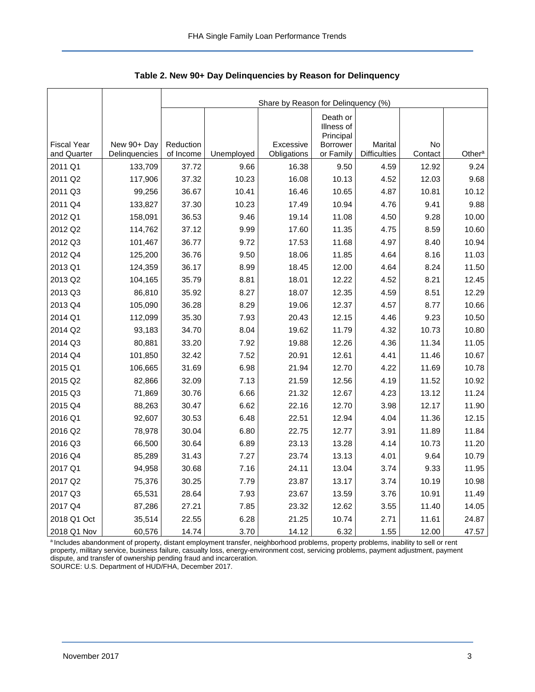|                                   |                              | Share by Reason for Delinquency (%) |            |                          |                                     |                                |               |                    |  |  |  |
|-----------------------------------|------------------------------|-------------------------------------|------------|--------------------------|-------------------------------------|--------------------------------|---------------|--------------------|--|--|--|
|                                   |                              |                                     |            |                          | Death or<br>Illness of<br>Principal |                                |               |                    |  |  |  |
| <b>Fiscal Year</b><br>and Quarter | New 90+ Day<br>Delinquencies | Reduction<br>of Income              | Unemployed | Excessive<br>Obligations | <b>Borrower</b><br>or Family        | Marital<br><b>Difficulties</b> | No<br>Contact | Other <sup>a</sup> |  |  |  |
| 2011 Q1                           | 133,709                      | 37.72                               | 9.66       | 16.38                    | 9.50                                | 4.59                           | 12.92         | 9.24               |  |  |  |
| 2011 Q2                           | 117,906                      | 37.32                               | 10.23      | 16.08                    | 10.13                               | 4.52                           | 12.03         | 9.68               |  |  |  |
| 2011 Q3                           | 99,256                       | 36.67                               | 10.41      | 16.46                    | 10.65                               | 4.87                           | 10.81         | 10.12              |  |  |  |
| 2011 Q4                           | 133,827                      | 37.30                               | 10.23      | 17.49                    | 10.94                               | 4.76                           | 9.41          | 9.88               |  |  |  |
| 2012 Q1                           | 158,091                      | 36.53                               | 9.46       | 19.14                    | 11.08                               | 4.50                           | 9.28          | 10.00              |  |  |  |
| 2012 Q2                           | 114,762                      | 37.12                               | 9.99       | 17.60                    | 11.35                               | 4.75                           | 8.59          | 10.60              |  |  |  |
| 2012 Q3                           | 101,467                      | 36.77                               | 9.72       | 17.53                    | 11.68                               | 4.97                           | 8.40          | 10.94              |  |  |  |
| 2012 Q4                           | 125,200                      | 36.76                               | 9.50       | 18.06                    | 11.85                               | 4.64                           | 8.16          | 11.03              |  |  |  |
| 2013 Q1                           | 124,359                      | 36.17                               | 8.99       | 18.45                    | 12.00                               | 4.64                           | 8.24          | 11.50              |  |  |  |
| 2013 Q2                           | 104,165                      | 35.79                               | 8.81       | 18.01                    | 12.22                               | 4.52                           | 8.21          | 12.45              |  |  |  |
| 2013 Q3                           | 86,810                       | 35.92                               | 8.27       | 18.07                    | 12.35                               | 4.59                           | 8.51          | 12.29              |  |  |  |
| 2013 Q4                           | 105,090                      | 36.28                               | 8.29       | 19.06                    | 12.37                               | 4.57                           | 8.77          | 10.66              |  |  |  |
| 2014 Q1                           | 112,099                      | 35.30                               | 7.93       | 20.43                    | 12.15                               | 4.46                           | 9.23          | 10.50              |  |  |  |
| 2014 Q2                           | 93,183                       | 34.70                               | 8.04       | 19.62                    | 11.79                               | 4.32                           | 10.73         | 10.80              |  |  |  |
| 2014 Q3                           | 80,881                       | 33.20                               | 7.92       | 19.88                    | 12.26                               | 4.36                           | 11.34         | 11.05              |  |  |  |
| 2014 Q4                           | 101,850                      | 32.42                               | 7.52       | 20.91                    | 12.61                               | 4.41                           | 11.46         | 10.67              |  |  |  |
| 2015 Q1                           | 106,665                      | 31.69                               | 6.98       | 21.94                    | 12.70                               | 4.22                           | 11.69         | 10.78              |  |  |  |
| 2015 Q2                           | 82,866                       | 32.09                               | 7.13       | 21.59                    | 12.56                               | 4.19                           | 11.52         | 10.92              |  |  |  |
| 2015 Q3                           | 71,869                       | 30.76                               | 6.66       | 21.32                    | 12.67                               | 4.23                           | 13.12         | 11.24              |  |  |  |
| 2015 Q4                           | 88,263                       | 30.47                               | 6.62       | 22.16                    | 12.70                               | 3.98                           | 12.17         | 11.90              |  |  |  |
| 2016 Q1                           | 92,607                       | 30.53                               | 6.48       | 22.51                    | 12.94                               | 4.04                           | 11.36         | 12.15              |  |  |  |
| 2016 Q2                           | 78,978                       | 30.04                               | 6.80       | 22.75                    | 12.77                               | 3.91                           | 11.89         | 11.84              |  |  |  |
| 2016 Q3                           | 66,500                       | 30.64                               | 6.89       | 23.13                    | 13.28                               | 4.14                           | 10.73         | 11.20              |  |  |  |
| 2016 Q4                           | 85,289                       | 31.43                               | 7.27       | 23.74                    | 13.13                               | 4.01                           | 9.64          | 10.79              |  |  |  |
| 2017 Q1                           | 94,958                       | 30.68                               | 7.16       | 24.11                    | 13.04                               | 3.74                           | 9.33          | 11.95              |  |  |  |
| 2017 Q2                           | 75,376                       | 30.25                               | 7.79       | 23.87                    | 13.17                               | 3.74                           | 10.19         | 10.98              |  |  |  |
| 2017 Q3                           | 65,531                       | 28.64                               | 7.93       | 23.67                    | 13.59                               | 3.76                           | 10.91         | 11.49              |  |  |  |
| 2017 Q4                           | 87,286                       | 27.21                               | 7.85       | 23.32                    | 12.62                               | 3.55                           | 11.40         | 14.05              |  |  |  |
| 2018 Q1 Oct                       | 35,514                       | 22.55                               | 6.28       | 21.25                    | 10.74                               | 2.71                           | 11.61         | 24.87              |  |  |  |
| 2018 Q1 Nov                       | 60,576                       | 14.74                               | 3.70       | 14.12                    | 6.32                                | 1.55                           | 12.00         | 47.57              |  |  |  |

<span id="page-3-0"></span>**Table 2. New 90+ Day Delinquencies by Reason for Delinquency**

a Includes abandonment of property, distant employment transfer, neighborhood problems, property problems, inability to sell or rent property, military service, business failure, casualty loss, energy-environment cost, servicing problems, payment adjustment, payment dispute, and transfer of ownership pending fraud and incarceration. SOURCE: U.S. Department of HUD/FHA, December 2017.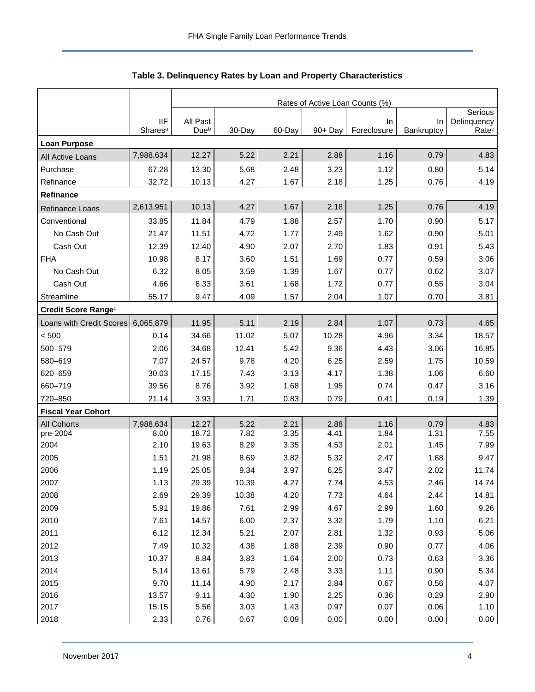<span id="page-4-0"></span>

|                           |                     | Rates of Active Loan Counts (%) |              |        |              |                   |              |                                  |  |  |  |
|---------------------------|---------------------|---------------------------------|--------------|--------|--------------|-------------------|--------------|----------------------------------|--|--|--|
|                           | <b>IIF</b>          | All Past                        |              |        |              |                   | In           | Serious                          |  |  |  |
|                           | Shares <sup>a</sup> | Due <sup>b</sup>                | 30-Day       | 60-Day | 90+ Day      | In<br>Foreclosure | Bankruptcy   | Delinquency<br>Rate <sup>c</sup> |  |  |  |
| <b>Loan Purpose</b>       |                     |                                 |              |        |              |                   |              |                                  |  |  |  |
| All Active Loans          | 7,988,634           | 12.27                           | 5.22         | 2.21   | 2.88         | 1.16              | 0.79         | 4.83                             |  |  |  |
| Purchase                  | 67.28               | 13.30                           | 5.68         | 2.48   | 3.23         | 1.12              | 0.80         | 5.14                             |  |  |  |
| Refinance                 | 32.72               | 10.13                           | 4.27         | 1.67   | 2.18         | 1.25              | 0.76         | 4.19                             |  |  |  |
| <b>Refinance</b>          |                     |                                 |              |        |              |                   |              |                                  |  |  |  |
| <b>Refinance Loans</b>    | 2,613,951           | 10.13                           | 4.27         | 1.67   | 2.18         | 1.25              | 0.76         | 4.19                             |  |  |  |
| Conventional              | 33.85               | 11.84                           | 4.79         | 1.88   | 2.57         | 1.70              | 0.90         | 5.17                             |  |  |  |
| No Cash Out               | 21.47               | 11.51                           | 4.72         | 1.77   | 2.49         | 1.62              | 0.90         | 5.01                             |  |  |  |
| Cash Out                  | 12.39               | 12.40                           | 4.90         | 2.07   | 2.70         | 1.83              | 0.91         | 5.43                             |  |  |  |
| <b>FHA</b>                | 10.98               | 8.17                            | 3.60         | 1.51   | 1.69         | 0.77              | 0.59         | 3.06                             |  |  |  |
| No Cash Out               | 6.32                | 8.05                            | 3.59         | 1.39   | 1.67         | 0.77              | 0.62         | 3.07                             |  |  |  |
| Cash Out                  | 4.66                | 8.33                            | 3.61         | 1.68   | 1.72         | 0.77              | 0.55         | 3.04                             |  |  |  |
| Streamline                | 55.17               | 9.47                            | 4.09         | 1.57   | 2.04         | 1.07              | 0.70         | 3.81                             |  |  |  |
| Credit Score Ranged       |                     |                                 |              |        |              |                   |              |                                  |  |  |  |
| Loans with Credit Scores  | 6,065,879           | 11.95                           | 5.11         | 2.19   | 2.84         | 1.07              | 0.73         | 4.65                             |  |  |  |
| < 500                     | 0.14                | 34.66                           | 11.02        | 5.07   | 10.28        | 4.96              | 3.34         | 18.57                            |  |  |  |
| 500-579                   | 2.06                | 34.68                           | 12.41        | 5.42   | 9.36         | 4.43              | 3.06         | 16.85                            |  |  |  |
| 580-619                   | 7.07                | 24.57                           | 9.78         | 4.20   | 6.25         | 2.59              | 1.75         | 10.59                            |  |  |  |
| 620-659                   | 30.03               | 17.15                           | 7.43         | 3.13   | 4.17         | 1.38              | 1.06         | 6.60                             |  |  |  |
| 660-719                   | 39.56               | 8.76                            | 3.92         | 1.68   | 1.95         | 0.74              | 0.47         | 3.16                             |  |  |  |
| 720-850                   | 21.14               | 3.93                            | 1.71         | 0.83   | 0.79         | 0.41              | 0.19         | 1.39                             |  |  |  |
| <b>Fiscal Year Cohort</b> |                     |                                 |              |        |              |                   |              |                                  |  |  |  |
| <b>All Cohorts</b>        | 7,988,634           | 12.27                           | 5.22         | 2.21   | 2.88         | 1.16              | 0.79         | 4.83                             |  |  |  |
| pre-2004                  | 8.00                | 18.72                           | 7.82         | 3.35   | 4.41         | 1.84              | 1.31         | 7.55                             |  |  |  |
| 2004                      | 2.10                | 19.63                           | 8.29         | 3.35   | 4.53         | 2.01              | 1.45         | 7.99                             |  |  |  |
| 2005                      | 1.51                | 21.98                           | 8.69         | 3.82   | 5.32         | 2.47              | 1.68         | 9.47                             |  |  |  |
| 2006                      | 1.19                | 25.05                           | 9.34         | 3.97   | 6.25         | 3.47              | 2.02         | 11.74                            |  |  |  |
| 2007                      | 1.13                | 29.39                           | 10.39        | 4.27   | 7.74         | 4.53              | 2.46         | 14.74                            |  |  |  |
| 2008                      | 2.69                | 29.39                           | 10.38        | 4.20   | 7.73         | 4.64              | 2.44         | 14.81                            |  |  |  |
| 2009                      | 5.91                | 19.86                           | 7.61         | 2.99   | 4.67         | 2.99              | 1.60         | 9.26                             |  |  |  |
| 2010                      | 7.61                | 14.57                           | 6.00         | 2.37   | 3.32         | 1.79              | 1.10         | 6.21                             |  |  |  |
| 2011                      | 6.12                | 12.34                           | 5.21         | 2.07   | 2.81         | 1.32              | 0.93         | 5.06                             |  |  |  |
| 2012                      | 7.49                | 10.32                           | 4.38         | 1.88   | 2.39         | 0.90              | 0.77         | 4.06                             |  |  |  |
| 2013                      | 10.37               | 8.84                            | 3.83         | 1.64   | 2.00         | 0.73              | 0.63         | 3.36                             |  |  |  |
| 2014                      | 5.14                | 13.61                           | 5.79         | 2.48   | 3.33         | 1.11              | 0.90         | 5.34                             |  |  |  |
| 2015                      | 9.70                | 11.14                           | 4.90         | 2.17   | 2.84         | 0.67              | 0.56         | 4.07                             |  |  |  |
| 2016<br>2017              | 13.57<br>15.15      | 9.11                            | 4.30<br>3.03 | 1.90   | 2.25<br>0.97 | 0.36<br>0.07      | 0.29<br>0.06 | 2.90<br>1.10                     |  |  |  |
|                           | 2.33                | 5.56                            |              | 1.43   |              |                   |              |                                  |  |  |  |
| 2018                      |                     | 0.76                            | 0.67         | 0.09   | 0.00         | 0.00              | 0.00         | 0.00                             |  |  |  |

**Table 3. Delinquency Rates by Loan and Property Characteristics**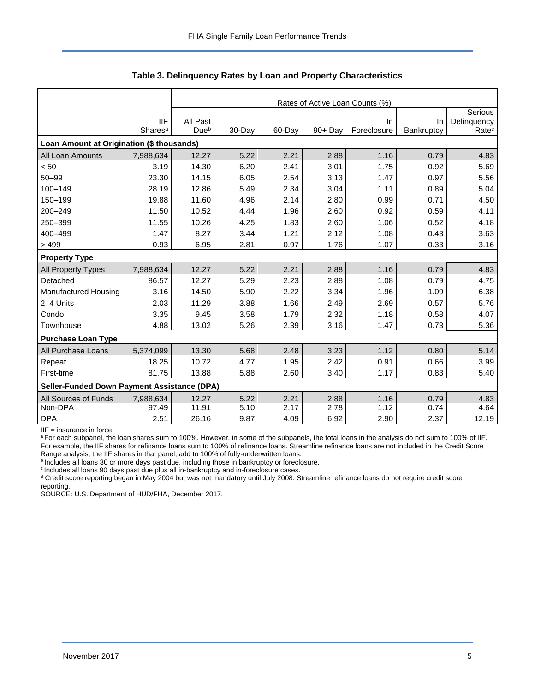|                                             |                     | Rates of Active Loan Counts (%) |        |        |            |             |            |                   |  |  |  |
|---------------------------------------------|---------------------|---------------------------------|--------|--------|------------|-------------|------------|-------------------|--|--|--|
|                                             |                     |                                 |        |        |            |             |            | Serious           |  |  |  |
|                                             | <b>IIF</b>          | All Past                        |        |        |            | In.         | In.        | Delinquency       |  |  |  |
|                                             | Shares <sup>a</sup> | Due <sup>b</sup>                | 30-Day | 60-Day | $90 + Day$ | Foreclosure | Bankruptcy | Rate <sup>c</sup> |  |  |  |
| Loan Amount at Origination (\$ thousands)   |                     |                                 |        |        |            |             |            |                   |  |  |  |
| All Loan Amounts                            | 7,988,634           | 12.27                           | 5.22   | 2.21   | 2.88       | 1.16        | 0.79       | 4.83              |  |  |  |
| < 50                                        | 3.19                | 14.30                           | 6.20   | 2.41   | 3.01       | 1.75        | 0.92       | 5.69              |  |  |  |
| $50 - 99$                                   | 23.30               | 14.15                           | 6.05   | 2.54   | 3.13       | 1.47        | 0.97       | 5.56              |  |  |  |
| 100-149                                     | 28.19               | 12.86                           | 5.49   | 2.34   | 3.04       | 1.11        | 0.89       | 5.04              |  |  |  |
| 150-199                                     | 19.88               | 11.60                           | 4.96   | 2.14   | 2.80       | 0.99        | 0.71       | 4.50              |  |  |  |
| 200-249                                     | 11.50               | 10.52                           | 4.44   | 1.96   | 2.60       | 0.92        | 0.59       | 4.11              |  |  |  |
| 250-399                                     | 11.55               | 10.26                           | 4.25   | 1.83   | 2.60       | 1.06        | 0.52       | 4.18              |  |  |  |
| 400-499                                     | 1.47                | 8.27                            | 3.44   | 1.21   | 2.12       | 1.08        | 0.43       | 3.63              |  |  |  |
| >499                                        | 0.93                | 6.95                            | 2.81   | 0.97   | 1.76       | 1.07        | 0.33       | 3.16              |  |  |  |
| <b>Property Type</b>                        |                     |                                 |        |        |            |             |            |                   |  |  |  |
| All Property Types                          | 7,988,634           | 12.27                           | 5.22   | 2.21   | 2.88       | 1.16        | 0.79       | 4.83              |  |  |  |
| Detached                                    | 86.57               | 12.27                           | 5.29   | 2.23   | 2.88       | 1.08        | 0.79       | 4.75              |  |  |  |
| Manufactured Housing                        | 3.16                | 14.50                           | 5.90   | 2.22   | 3.34       | 1.96        | 1.09       | 6.38              |  |  |  |
| 2-4 Units                                   | 2.03                | 11.29                           | 3.88   | 1.66   | 2.49       | 2.69        | 0.57       | 5.76              |  |  |  |
| Condo                                       | 3.35                | 9.45                            | 3.58   | 1.79   | 2.32       | 1.18        | 0.58       | 4.07              |  |  |  |
| Townhouse                                   | 4.88                | 13.02                           | 5.26   | 2.39   | 3.16       | 1.47        | 0.73       | 5.36              |  |  |  |
| <b>Purchase Loan Type</b>                   |                     |                                 |        |        |            |             |            |                   |  |  |  |
| All Purchase Loans                          | 5,374,099           | 13.30                           | 5.68   | 2.48   | 3.23       | 1.12        | 0.80       | 5.14              |  |  |  |
| Repeat                                      | 18.25               | 10.72                           | 4.77   | 1.95   | 2.42       | 0.91        | 0.66       | 3.99              |  |  |  |
| First-time                                  | 81.75               | 13.88                           | 5.88   | 2.60   | 3.40       | 1.17        | 0.83       | 5.40              |  |  |  |
| Seller-Funded Down Payment Assistance (DPA) |                     |                                 |        |        |            |             |            |                   |  |  |  |
| All Sources of Funds                        | 7,988,634           | 12.27                           | 5.22   | 2.21   | 2.88       | 1.16        | 0.79       | 4.83              |  |  |  |
| Non-DPA                                     | 97.49               | 11.91                           | 5.10   | 2.17   | 2.78       | 1.12        | 0.74       | 4.64              |  |  |  |
| <b>DPA</b>                                  | 2.51                | 26.16                           | 9.87   | 4.09   | 6.92       | 2.90        | 2.37       | 12.19             |  |  |  |

**Table 3. Delinquency Rates by Loan and Property Characteristics**

IIF = insurance in force.

a For each subpanel, the loan shares sum to 100%. However, in some of the subpanels, the total loans in the analysis do not sum to 100% of IIF. For example, the IIF shares for refinance loans sum to 100% of refinance loans. Streamline refinance loans are not included in the Credit Score Range analysis; the IIF shares in that panel, add to 100% of fully-underwritten loans.

**bIncludes all loans 30 or more days past due, including those in bankruptcy or foreclosure.** 

<sup>c</sup> Includes all loans 90 days past due plus all in-bankruptcy and in-foreclosure cases.

<sup>d</sup> Credit score reporting began in May 2004 but was not mandatory until July 2008. Streamline refinance loans do not require credit score reporting.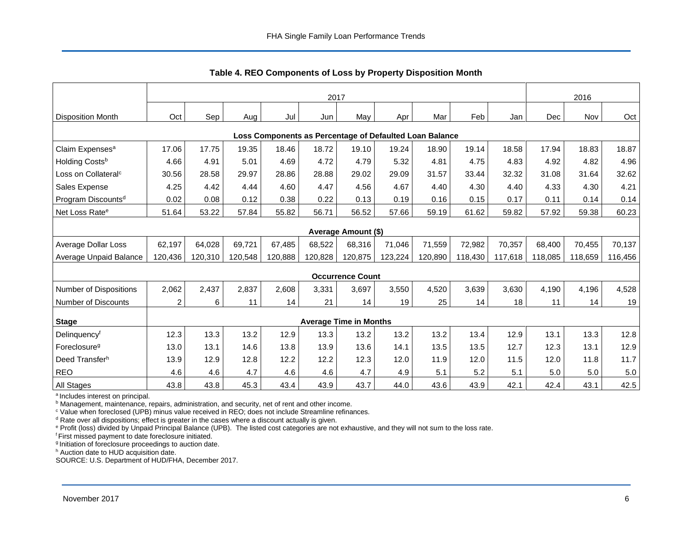<span id="page-6-0"></span>

|                                 | 2017                                                    |         |         |         |         |                               |         |         | 2016    |         |         |         |         |
|---------------------------------|---------------------------------------------------------|---------|---------|---------|---------|-------------------------------|---------|---------|---------|---------|---------|---------|---------|
| <b>Disposition Month</b>        | Oct                                                     | Sep     | Aug     | Jul     | Jun     | May                           | Apr     | Mar     | Feb     | Jan     | Dec     | Nov     | Oct     |
|                                 | Loss Components as Percentage of Defaulted Loan Balance |         |         |         |         |                               |         |         |         |         |         |         |         |
| Claim Expenses <sup>a</sup>     | 17.06                                                   | 17.75   | 19.35   | 18.46   | 18.72   | 19.10                         | 19.24   | 18.90   | 19.14   | 18.58   | 17.94   | 18.83   | 18.87   |
| Holding Costsb                  | 4.66                                                    | 4.91    | 5.01    | 4.69    | 4.72    | 4.79                          | 5.32    | 4.81    | 4.75    | 4.83    | 4.92    | 4.82    | 4.96    |
| Loss on Collateral <sup>c</sup> | 30.56                                                   | 28.58   | 29.97   | 28.86   | 28.88   | 29.02                         | 29.09   | 31.57   | 33.44   | 32.32   | 31.08   | 31.64   | 32.62   |
| Sales Expense                   | 4.25                                                    | 4.42    | 4.44    | 4.60    | 4.47    | 4.56                          | 4.67    | 4.40    | 4.30    | 4.40    | 4.33    | 4.30    | 4.21    |
| Program Discounts <sup>d</sup>  | 0.02                                                    | 0.08    | 0.12    | 0.38    | 0.22    | 0.13                          | 0.19    | 0.16    | 0.15    | 0.17    | 0.11    | 0.14    | 0.14    |
| Net Loss Rate <sup>e</sup>      | 51.64                                                   | 53.22   | 57.84   | 55.82   | 56.71   | 56.52                         | 57.66   | 59.19   | 61.62   | 59.82   | 57.92   | 59.38   | 60.23   |
|                                 |                                                         |         |         |         |         | <b>Average Amount (\$)</b>    |         |         |         |         |         |         |         |
| Average Dollar Loss             | 62,197                                                  | 64,028  | 69,721  | 67,485  | 68,522  | 68,316                        | 71,046  | 71,559  | 72,982  | 70,357  | 68,400  | 70,455  | 70,137  |
| Average Unpaid Balance          | 120,436                                                 | 120,310 | 120,548 | 120,888 | 120,828 | 120,875                       | 123,224 | 120,890 | 118,430 | 117,618 | 118,085 | 118,659 | 116,456 |
|                                 |                                                         |         |         |         |         | <b>Occurrence Count</b>       |         |         |         |         |         |         |         |
| Number of Dispositions          | 2,062                                                   | 2,437   | 2,837   | 2,608   | 3,331   | 3,697                         | 3,550   | 4,520   | 3,639   | 3,630   | 4,190   | 4,196   | 4,528   |
| <b>Number of Discounts</b>      | $\overline{\mathbf{c}}$                                 | 6       | 11      | 14      | 21      | 14                            | 19      | 25      | 14      | 18      | 11      | 14      | 19      |
| <b>Stage</b>                    |                                                         |         |         |         |         | <b>Average Time in Months</b> |         |         |         |         |         |         |         |
| Delinquencyf                    | 12.3                                                    | 13.3    | 13.2    | 12.9    | 13.3    | 13.2                          | 13.2    | 13.2    | 13.4    | 12.9    | 13.1    | 13.3    | 12.8    |
| Foreclosure <sup>g</sup>        | 13.0                                                    | 13.1    | 14.6    | 13.8    | 13.9    | 13.6                          | 14.1    | 13.5    | 13.5    | 12.7    | 12.3    | 13.1    | 12.9    |
| Deed Transferh                  | 13.9                                                    | 12.9    | 12.8    | 12.2    | 12.2    | 12.3                          | 12.0    | 11.9    | 12.0    | 11.5    | 12.0    | 11.8    | 11.7    |
| <b>REO</b>                      | 4.6                                                     | 4.6     | 4.7     | 4.6     | 4.6     | 4.7                           | 4.9     | 5.1     | 5.2     | 5.1     | 5.0     | 5.0     | 5.0     |
| All Stages                      | 43.8                                                    | 43.8    | 45.3    | 43.4    | 43.9    | 43.7                          | 44.0    | 43.6    | 43.9    | 42.1    | 42.4    | 43.1    | 42.5    |

**Table 4. REO Components of Loss by Property Disposition Month**

<sup>a</sup> Includes interest on principal.

**b** Management, maintenance, repairs, administration, and security, net of rent and other income.

<sup>c</sup> Value when foreclosed (UPB) minus value received in REO; does not include Streamline refinances.

 $d$  Rate over all dispositions; effect is greater in the cases where a discount actually is given.

<sup>e</sup> Profit (loss) divided by Unpaid Principal Balance (UPB). The listed cost categories are not exhaustive, and they will not sum to the loss rate.

<sup>f</sup> First missed payment to date foreclosure initiated.

<sup>g</sup> Initiation of foreclosure proceedings to auction date.

h Auction date to HUD acquisition date.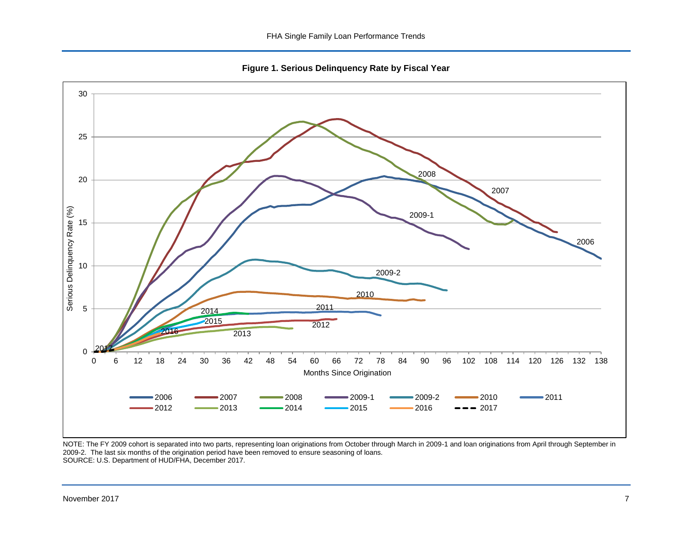**Figure 1. Serious Delinquency Rate by Fiscal Year**

<span id="page-7-0"></span>

NOTE: The FY 2009 cohort is separated into two parts, representing loan originations from October through March in 2009-1 and loan originations from April through September in 2009-2. The last six months of the origination period have been removed to ensure seasoning of loans. SOURCE: U.S. Department of HUD/FHA, December 2017.